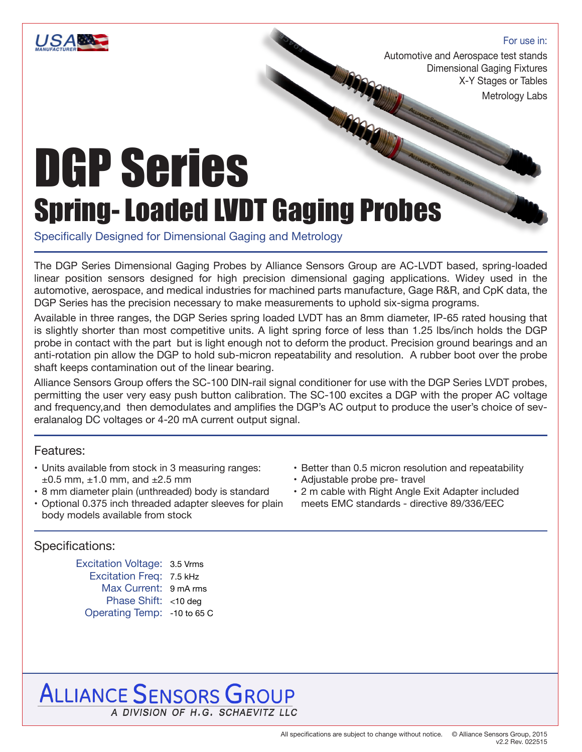

#### For use in:

Automotive and Aerospace test stands Dimensional Gaging Fixtures X-Y Stages or Tables

Metrology Labs

# DGP Series Spring- Loaded LVDT Gaging Probes

Specifically Designed for Dimensional Gaging and Metrology

The DGP Series Dimensional Gaging Probes by Alliance Sensors Group are AC-LVDT based, spring-loaded linear position sensors designed for high precision dimensional gaging applications. Widey used in the automotive, aerospace, and medical industries for machined parts manufacture, Gage R&R, and CpK data, the DGP Series has the precision necessary to make measurements to uphold six-sigma programs.

Available in three ranges, the DGP Series spring loaded LVDT has an 8mm diameter, IP-65 rated housing that is slightly shorter than most competitive units. A light spring force of less than 1.25 lbs/inch holds the DGP probe in contact with the part but is light enough not to deform the product. Precision ground bearings and an anti-rotation pin allow the DGP to hold sub-micron repeatability and resolution. A rubber boot over the probe shaft keeps contamination out of the linear bearing.

Alliance Sensors Group offers the SC-100 DIN-rail signal conditioner for use with the DGP Series LVDT probes, permitting the user very easy push button calibration. The SC-100 excites a DGP with the proper AC voltage and frequency,and then demodulates and amplifies the DGP's AC output to produce the user's choice of severalanalog DC voltages or 4-20 mA current output signal.

#### Features:

- Units available from stock in 3 measuring ranges:  $\pm 0.5$  mm,  $\pm 1.0$  mm, and  $\pm 2.5$  mm
- 8 mm diameter plain (unthreaded) body is standard
- Optional 0.375 inch threaded adapter sleeves for plain body models available from stock

#### Specifications:

Excitation Voltage: 3.5 Vrms Excitation Freq: 7.5 kHz Max Current: 9 mA rms Phase Shift: <10 deg Operating Temp: -10 to 65 C

- Better than 0.5 micron resolution and repeatability
- Adjustable probe pre- travel
- 2 m cable with Right Angle Exit Adapter included meets EMC standards - directive 89/336/EEC

## **ALLIANCE SENSORS GROUP** A DIVISION OF H.G. SCHAEVITZ LLC